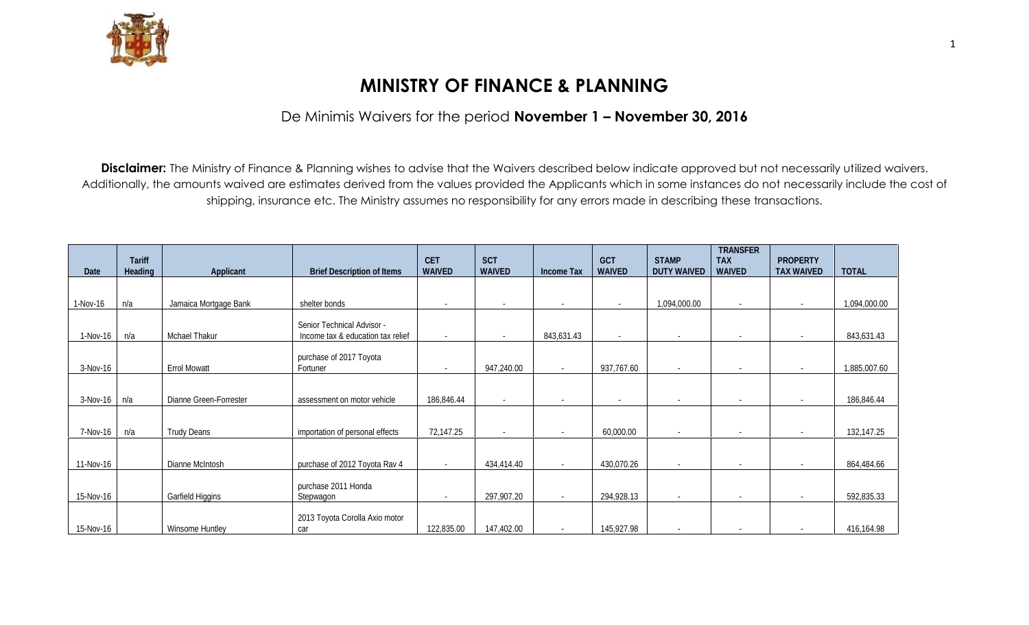

## **MINISTRY OF FINANCE & PLANNING**

De Minimis Waivers for the period **November 1 – November 30, 2016**

**Disclaimer:** The Ministry of Finance & Planning wishes to advise that the Waivers described below indicate approved but not necessarily utilized waivers. Additionally, the amounts waived are estimates derived from the values provided the Applicants which in some instances do not necessarily include the cost of shipping, insurance etc. The Ministry assumes no responsibility for any errors made in describing these transactions.

| Date      | <b>Tariff</b><br><b>Heading</b> | <b>Applicant</b>       | <b>Brief Description of Items</b> | <b>CET</b><br><b>WAIVED</b> | <b>SCT</b><br><b>WAIVED</b> | <b>Income Tax</b>        | <b>GCT</b><br><b>WAIVED</b> | <b>STAMP</b><br><b>DUTY WAIVED</b> | <b>TRANSFER</b><br><b>TAX</b><br><b>WAIVED</b> | <b>PROPERTY</b><br><b>TAX WAIVED</b> | <b>TOTAL</b> |
|-----------|---------------------------------|------------------------|-----------------------------------|-----------------------------|-----------------------------|--------------------------|-----------------------------|------------------------------------|------------------------------------------------|--------------------------------------|--------------|
|           |                                 |                        |                                   |                             |                             |                          |                             |                                    |                                                |                                      |              |
|           |                                 |                        |                                   |                             |                             |                          |                             |                                    |                                                |                                      |              |
| 1-Nov-16  | n/a                             | Jamaica Mortgage Bank  | shelter bonds                     | $\overline{\phantom{a}}$    | $\overline{\phantom{a}}$    |                          | $\sim$                      | 1,094,000.00                       | $\overline{\phantom{a}}$                       |                                      | 1,094,000.00 |
|           |                                 |                        |                                   |                             |                             |                          |                             |                                    |                                                |                                      |              |
|           |                                 |                        | Senior Technical Advisor -        |                             |                             |                          |                             |                                    |                                                |                                      |              |
| 1-Nov-16  | n/a                             | Mohael Thakur          | Income tax & education tax relief | $\sim$                      | $\sim$                      | 843,631.43               | $\overline{\phantom{a}}$    | $\sim$                             | $\overline{\phantom{a}}$                       |                                      | 843,631.43   |
|           |                                 |                        |                                   |                             |                             |                          |                             |                                    |                                                |                                      |              |
| 3-Nov-16  |                                 | <b>Errol Mowatt</b>    | purchase of 2017 Toyota           | $\sim$                      | 947,240.00                  | $\sim$                   | 937,767.60                  | $\sim$                             | $\blacksquare$                                 |                                      | 1,885,007.60 |
|           |                                 |                        | Fortuner                          |                             |                             |                          |                             |                                    |                                                |                                      |              |
|           |                                 |                        |                                   |                             |                             |                          |                             |                                    |                                                |                                      |              |
| 3-Nov-16  | n/a                             | Dianne Green-Forrester | assessment on motor vehicle       | 186,846.44                  | $\overline{\phantom{a}}$    |                          | $\overline{\phantom{a}}$    |                                    | $\overline{\phantom{a}}$                       |                                      | 186,846.44   |
|           |                                 |                        |                                   |                             |                             |                          |                             |                                    |                                                |                                      |              |
|           |                                 |                        |                                   |                             |                             |                          |                             |                                    |                                                |                                      |              |
| 7-Nov-16  | n⁄a                             | <b>Trudy Deans</b>     | importation of personal effects   | 72,147.25                   | $\sim$                      | $\sim$                   | 60,000.00                   | $\sim$                             | $\sim$                                         | $\overline{\phantom{a}}$             | 132,147.25   |
|           |                                 |                        |                                   |                             |                             |                          |                             |                                    |                                                |                                      |              |
| 11-Nov-16 |                                 | Dianne McIntosh        | purchase of 2012 Toyota Rav 4     | $\sim$                      | 434,414.40                  | $\sim$                   | 430,070.26                  | $\overline{\phantom{a}}$           | $\overline{\phantom{0}}$                       | $\overline{\phantom{a}}$             | 864,484.66   |
|           |                                 |                        |                                   |                             |                             |                          |                             |                                    |                                                |                                      |              |
|           |                                 |                        | purchase 2011 Honda               |                             |                             |                          |                             |                                    |                                                |                                      |              |
| 15-Nov-16 |                                 | Garfield Higgins       | Stepwagon                         | $\overline{\phantom{a}}$    | 297,907.20                  | $\overline{\phantom{a}}$ | 294,928.13                  |                                    | $\overline{\phantom{a}}$                       |                                      | 592,835.33   |
|           |                                 |                        |                                   |                             |                             |                          |                             |                                    |                                                |                                      |              |
|           |                                 |                        | 2013 Toyota Corolla Axio motor    |                             |                             |                          |                             |                                    |                                                |                                      |              |
| 15-Nov-16 |                                 | <b>Winsome Huntley</b> | car                               | 122,835.00                  | 147,402.00                  |                          | 145,927.98                  |                                    |                                                |                                      | 416,164.98   |